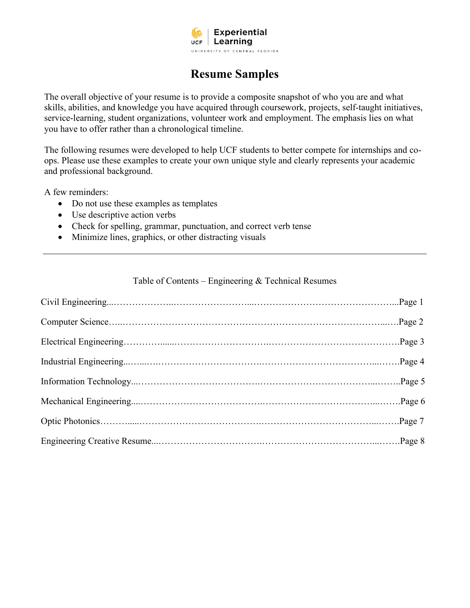

# **Resume Samples**

The overall objective of your resume is to provide a composite snapshot of who you are and what skills, abilities, and knowledge you have acquired through coursework, projects, self-taught initiatives, service-learning, student organizations, volunteer work and employment. The emphasis lies on what you have to offer rather than a chronological timeline.

The following resumes were developed to help UCF students to better compete for internships and coops. Please use these examples to create your own unique style and clearly represents your academic and professional background.

A few reminders:

- Do not use these examples as templates
- Use descriptive action verbs
- Check for spelling, grammar, punctuation, and correct verb tense
- Minimize lines, graphics, or other distracting visuals

#### Table of Contents – Engineering & Technical Resumes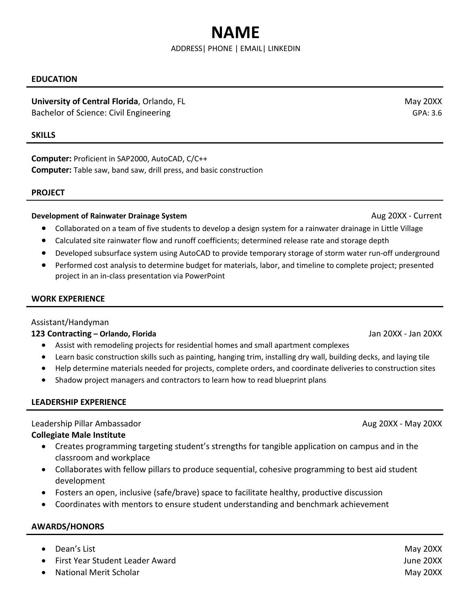# **NAME**

#### ADDRESS| PHONE | [EMAIL|](mailto:amanimcf@knights.ucf.edu) LINKEDIN

#### **EDUCATION**

# **University of Central Florida**, Orlando, FL May 20XX

Bachelor of Science: Civil Engineering GPA: 3.6

#### **SKILLS**

**Computer:** Proficient in SAP2000, AutoCAD, C/C++ **Computer:** Table saw, band saw, drill press, and basic construction

#### **PROJECT**

#### **Development of Rainwater Drainage System** Aug 20XX - Current Aug 20XX - Current

- Collaborated on a team of five students to develop a design system for a rainwater drainage in Little Village
- Calculated site rainwater flow and runoff coefficients; determined release rate and storage depth
- Developed subsurface system using AutoCAD to provide temporary storage of storm water run-off underground
- Performed cost analysis to determine budget for materials, labor, and timeline to complete project; presented project in an in-class presentation via PowerPoint

#### **WORK EXPERIENCE**

#### Assistant/Handyman

#### **123 Contracting – Orlando, Florida** Jan 20XX - Jan 20XX

- Assist with remodeling projects for residential homes and small apartment complexes
- Learn basic construction skills such as painting, hanging trim, installing dry wall, building decks, and laying tile
- Help determine materials needed for projects, complete orders, and coordinate deliveries to construction sites
- Shadow project managers and contractors to learn how to read blueprint plans

#### **LEADERSHIP EXPERIENCE**

#### Leadership Pillar Ambassador Aug 20XX - May 20XX

#### **Collegiate Male Institute**

- Creates programming targeting student's strengths for tangible application on campus and in the classroom and workplace
- Collaborates with fellow pillars to produce sequential, cohesive programming to best aid student development
- Fosters an open, inclusive (safe/brave) space to facilitate healthy, productive discussion
- Coordinates with mentors to ensure student understanding and benchmark achievement

#### **AWARDS/HONORS**

- Dean's List May 20XX
- First Year Student Leader Award June 20XX
- extending the May 20XX and May 20XX and May 20XX and May 20XX and May 20XX and May 20XX and May 20XX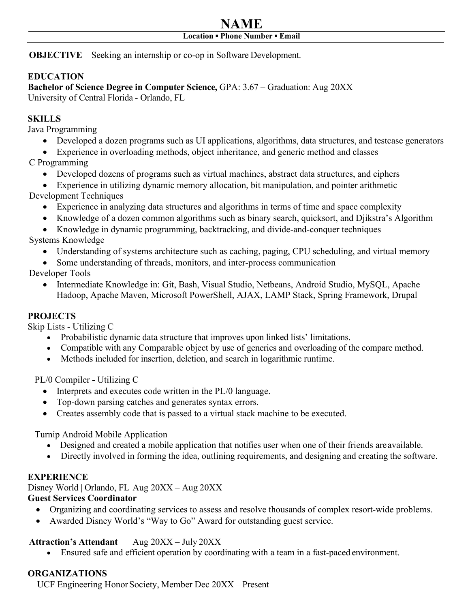# **NAME Location ▪ Phone Number ▪ [Email](mailto:DavidKnight@knights.ucf.edu)**

**OBJECTIVE** Seeking an internship or co-op in Software Development.

# **EDUCATION**

**Bachelor of Science Degree in Computer Science,** GPA: 3.67 – Graduation: Aug 20XX University of Central Florida - Orlando, FL

# **SKILLS**

Java Programming

• Developed a dozen programs such as UI applications, algorithms, data structures, and testcase generators

• Experience in overloading methods, object inheritance, and generic method and classes

- C Programming
	- Developed dozens of programs such as virtual machines, abstract data structures, and ciphers
	- Experience in utilizing dynamic memory allocation, bit manipulation, and pointer arithmetic
- Development Techniques
	- Experience in analyzing data structures and algorithms in terms of time and space complexity
	- Knowledge of a dozen common algorithms such as binary search, quicksort, and Djikstra's Algorithm
	- Knowledge in dynamic programming, backtracking, and divide-and-conquer techniques

Systems Knowledge

- Understanding of systems architecture such as caching, paging, CPU scheduling, and virtual memory
- Some understanding of threads, monitors, and inter-process communication

Developer Tools

• Intermediate Knowledge in: Git, Bash, Visual Studio, Netbeans, Android Studio, MySQL, Apache Hadoop, Apache Maven, Microsoft PowerShell, AJAX, LAMP Stack, Spring Framework, Drupal

# **PROJECTS**

Skip Lists - Utilizing C

- Probabilistic dynamic data structure that improves upon linked lists' limitations.
- Compatible with any Comparable object by use of generics and overloading of the compare method.
- Methods included for insertion, deletion, and search in logarithmic runtime.

PL/0 Compiler **-** Utilizing C

- Interprets and executes code written in the PL/0 language.
- Top-down parsing catches and generates syntax errors.
- Creates assembly code that is passed to a virtual stack machine to be executed.

Turnip Android Mobile Application

- Designed and created a mobile application that notifies user when one of their friends areavailable.
- Directly involved in forming the idea, outlining requirements, and designing and creating the software.

# **EXPERIENCE**

Disney World | Orlando, FL Aug 20XX – Aug 20XX

# **Guest Services Coordinator**

- Organizing and coordinating services to assess and resolve thousands of complex resort-wide problems.
- Awarded Disney World's "Way to Go" Award for outstanding guest service.

# **Attraction's Attendant** Aug 20XX – July 20XX

• Ensured safe and efficient operation by coordinating with a team in a fast-paced environment.

# **ORGANIZATIONS**

UCF Engineering Honor Society, Member Dec 20XX – Present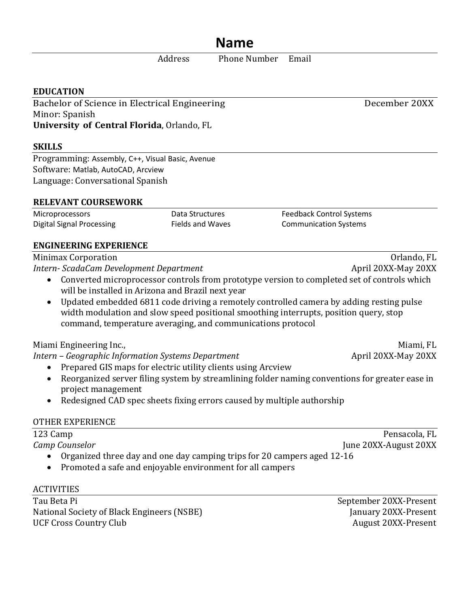# **Name**

Address Phone Number Email

# **EDUCATION**

Bachelor of Science in Electrical Engineering December 20XX Minor: Spanish **University of Central Florida**, Orlando, FL

# **SKILLS**

Programming: Assembly, C++, Visual Basic, Avenue Software: Matlab, AutoCAD, Arcview Language: Conversational Spanish

# **RELEVANT COURSEWORK**

Microprocessors Data Structures Feedback Control Systems Digital Signal Processing Fields and Waves Communication Systems

# **ENGINEERING EXPERIENCE**

Minimax Corporation<br>Intern- ScadaCam Development Department<br>April 20XX-May 20XX *Intern- ScadaCam Development Department* 

- Converted microprocessor controls from prototype version to completed set of controls which will be installed in Arizona and Brazil next year
- Updated embedded 6811 code driving a remotely controlled camera by adding resting pulse width modulation and slow speed positional smoothing interrupts, position query, stop command, temperature averaging, and communications protocol

Miami Engineering Inc.,<br>Miami, FL مساحة 1908 Miami, FL مساحة 1908 Miami, FL<br>April 20XX-May 20XX *Intern – Geographic Information Systems Department* 

- Prepared GIS maps for electric utility clients using Arcview
- Reorganized server filing system by streamlining folder naming conventions for greater ease in project management
- Redesigned CAD spec sheets fixing errors caused by multiple authorship

# OTHER EXPERIENCE

| 123 Camp                                                                | Pensacola, FL         |  |
|-------------------------------------------------------------------------|-----------------------|--|
| Camp Counselor                                                          | June 20XX-August 20XX |  |
| Organized three day and one day camping trips for 20 campers aged 12-16 |                       |  |
| Promoted a safe and enjoyable environment for all campers               |                       |  |

# ACTIVITIES

Tau Beta Pi<br>National Society of Black Engineers (NSBE) [anuary 20XX-Present National Society of Black Engineers (NSBE) January 20XX-Present<br>UCF Cross Country Club delays and the settlement of the August 20XX-Present **UCF Cross Country Club**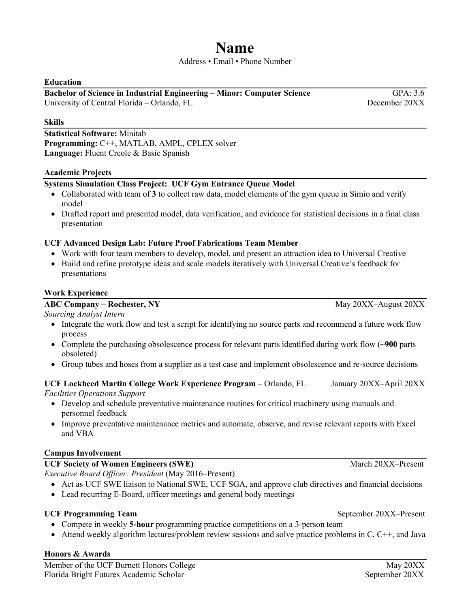#### **Education**

#### **Bachelor of Science in Industrial Engineering – Minor: Computer Science GPA: 3.6** University of Central Florida – Orlando, FL December 20XX

#### **Skills**

**Statistical Software:** Minitab **Programming:** C++, MATLAB, AMPL, CPLEX solver **Language:** Fluent Creole & Basic Spanish

#### **Academic Projects**

#### **Systems Simulation Class Project: UCF Gym Entrance Queue Model**

- Collaborated with team of **3** to collect raw data, model elements of the gym queue in Simio and verify model
- Drafted report and presented model, data verification, and evidence for statistical decisions in a final class presentation

#### **UCF Advanced Design Lab: Future Proof Fabrications Team Member**

- Work with four team members to develop, model, and present an attraction idea to Universal Creative
- Build and refine prototype ideas and scale models iteratively with Universal Creative's feedback for presentations

#### **Work Experience**

#### **ABC Company – Rochester, NY** May 20XX–August 20XX

*Sourcing Analyst Intern*  • Integrate the work flow and test a script for identifying no source parts and recommend a future work flow process

- Complete the purchasing obsolescence process for relevant parts identified during work flow (**~900** parts obsoleted)
- Group tubes and hoses from a supplier as a test case and implement obsolescence and re-source decisions

#### **UCF Lockheed Martin College Work Experience Program** – Orlando, FL January 20XX–April 20XX *Facilities Operations Support*

- Develop and schedule preventative maintenance routines for critical machinery using manuals and personnel feedback
- Improve preventative maintenance metrics and automate, observe, and revise relevant reports with Excel and VBA

#### **Campus Involvement**

#### UCF Society of Women Engineers (SWE) **March 20XX–Present** March 20XX–Present

*Executive Board Officer: President* (May 2016–Present)

- Act as UCF SWE liaison to National SWE, UCF SGA, and approve club directives and financial decisions
- Lead recurring E-Board, officer meetings and general body meetings

#### UCF Programming Team and September 20XX–Present

- Compete in weekly **5-hour** programming practice competitions on a 3-person team
- Attend weekly algorithm lectures/problem review sessions and solve practice problems in  $C, C++,$  and Java

# **Honors & Awards**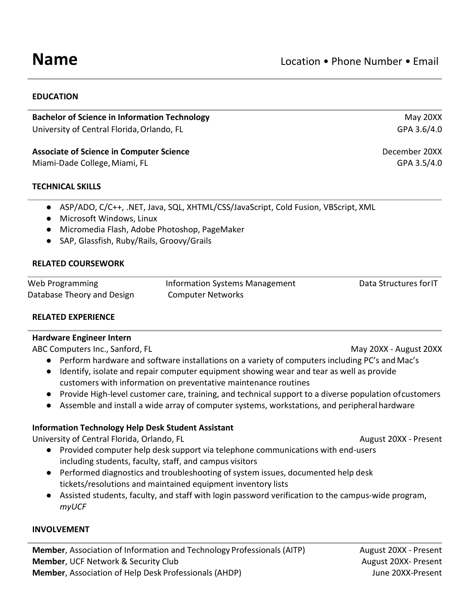#### **EDUCATION**

**Bachelor of Science in Information Technology May 20XX** And The May 20XX And The May 20XX University of Central Florida, Orlando, FL GPA 3.6/4.0

# **Associate of Science in Computer Science** December 20XX

Miami-Dade College, Miami, FL GPA 3.5/4.0

#### **TECHNICAL SKILLS**

- ASP/ADO, C/C++, .NET, Java, SQL, XHTML/CSS/JavaScript, Cold Fusion, VBScript, XML
- Microsoft Windows, Linux
- Micromedia Flash, Adobe Photoshop, PageMaker
- SAP, Glassfish, Ruby/Rails, Groovy/Grails

# **RELATED COURSEWORK**

| Web Programming            | Information Systems Management | Data Structures for IT |
|----------------------------|--------------------------------|------------------------|
| Database Theory and Design | <b>Computer Networks</b>       |                        |

# **RELATED EXPERIENCE**

#### **Hardware Engineer Intern**

ABC Computers Inc., Sanford, FL May 20XX - August 20XX - August 20XX - August 20XX

- Perform hardware and software installations on a variety of computers including PC's and Mac's
- Identify, isolate and repair computer equipment showing wear and tear as well as provide customers with information on preventative maintenance routines
- Provide High-level customer care, training, and technical support to a diverse population ofcustomers
- Assemble and install a wide array of computer systems, workstations, and peripheral hardware

# **Information Technology Help Desk Student Assistant**

University of Central Florida, Orlando, FL August 20XX - Present

- Provided computer help desk support via telephone communications with end-users including students, faculty, staff, and campus visitors
- Performed diagnostics and troubleshooting of system issues, documented help desk tickets/resolutions and maintained equipment inventory lists
- Assisted students, faculty, and staff with login password verification to the campus-wide program, *myUCF*

#### **INVOLVEMENT**

**Member**, Association of Information and Technology Professionals (AITP) August 20XX - Present **Member**, UCF Network & Security Club August 20XX- Present **Member**, Association of Help Desk Professionals (AHDP) **Solution Control Control** June 20XX-Present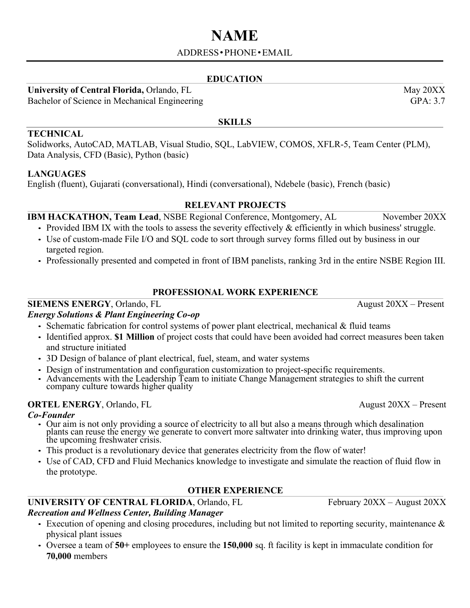# **NAME**

# ADDRESS•PHONE•[EMAIL](mailto:mehul8797patel@knights.ucf.edu)

# **EDUCATION**

**SKILLS**

**University of Central Florida, Orlando, FL May 20XX** 

Bachelor of Science in Mechanical Engineering GPA: 3.7

#### **TECHNICAL**

Solidworks, AutoCAD, MATLAB, Visual Studio, SQL, LabVIEW, COMOS, XFLR-5, Team Center (PLM), Data Analysis, CFD (Basic), Python (basic)

# **LANGUAGES**

English (fluent), Gujarati (conversational), Hindi (conversational), Ndebele (basic), French (basic)

# **RELEVANT PROJECTS**

**IBM HACKATHON, Team Lead, NSBE Regional Conference, Montgomery, AL November 20XX** 

- Provided IBM IX with the tools to assess the severity effectively  $\&$  efficiently in which business' struggle.
- Use of custom-made File I/O and SQL code to sort through survey forms filled out by business in our targeted region.
- Professionally presented and competed in front of IBM panelists, ranking 3rd in the entire NSBE Region III.

# **PROFESSIONAL WORK EXPERIENCE**

# **SIEMENS ENERGY**, Orlando, FL August 20XX – Present

# *Energy Solutions & Plant Engineering Co-op*

- Schematic fabrication for control systems of power plant electrical, mechanical & fluid teams
- Identified approx. **\$1 Million** of project costs that could have been avoided had correct measures been taken and structure initiated
- 3D Design of balance of plant electrical, fuel, steam, and water systems
- Design of instrumentation and configuration customization to project-specific requirements.
- Advancements with the Leadership Team to initiate Change Management strategies to shift the current company culture towards higher quality

# **ORTEL ENERGY**, Orlando, FL August 20XX – Present

- *Co-Founder* Our aim is not only providing <sup>a</sup> source of electricity to all but also <sup>a</sup> means through which desalination plants can reuse the energy we generate to convert more saltwater into drinking water, thus improving upon the upcoming freshwater crisis.
	- This product is a revolutionary device that generates electricity from the flow of water!
	- Use of CAD, CFD and Fluid Mechanics knowledge to investigate and simulate the reaction of fluid flow in the prototype.

# **OTHER EXPERIENCE**

# **UNIVERSITY OF CENTRAL FLORIDA**, Orlando, FL February 20XX – August 20XX

# *Recreation and Wellness Center, Building Manager*

- Execution of opening and closing procedures, including but not limited to reporting security, maintenance & physical plant issues
- Oversee a team of **50+** employees to ensure the **150,000** sq. ft facility is kept in immaculate condition for **70,000** members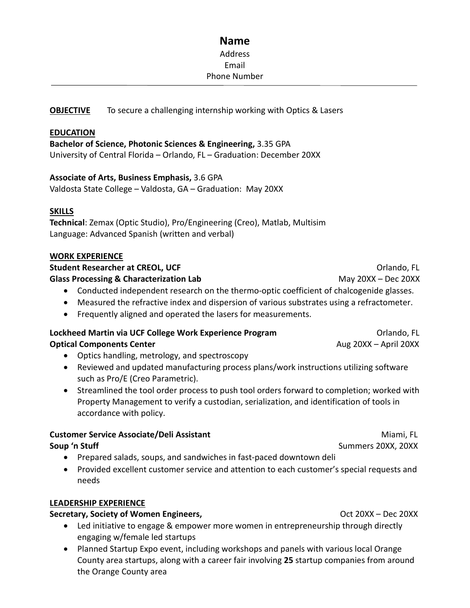# **Name** Address Email Phone Number

# **OBJECTIVE** To secure a challenging internship working with Optics & Lasers

#### **EDUCATION**

**Bachelor of Science, Photonic Sciences & Engineering,** 3.35 GPA University of Central Florida – Orlando, FL – Graduation: December 20XX

#### **Associate of Arts, Business Emphasis,** 3.6 GPA

Valdosta State College – Valdosta, GA – Graduation: May 20XX

#### **SKILLS**

**Technical**: Zemax (Optic Studio), Pro/Engineering (Creo), Matlab, Multisim Language: Advanced Spanish (written and verbal)

#### **WORK EXPERIENCE**

**Student Researcher at CREOL, UCF** Orlando, FL **Glass Processing & Characterization Lab** May 20XX – Dec 20XX

- Conducted independent research on the thermo-optic coefficient of chalcogenide glasses.
- Measured the refractive index and dispersion of various substrates using a refractometer.
- Frequently aligned and operated the lasers for measurements.

#### **Lockheed Martin via UCF College Work Experience Program** *Collection Collando***, FL Optical Components Center** Aug 20XX – April 20XX – April 20XX

- Optics handling, metrology, and spectroscopy
- Reviewed and updated manufacturing process plans/work instructions utilizing software such as Pro/E (Creo Parametric).
- Streamlined the tool order process to push tool orders forward to completion; worked with Property Management to verify a custodian, serialization, and identification of tools in accordance with policy.

#### **Customer Service Associate/Deli Assistant** Miami, FL **Soup 'n Stuff** Summers 20XX, 20XX

- Prepared salads, soups, and sandwiches in fast-paced downtown deli
- Provided excellent customer service and attention to each customer's special requests and needs

#### **LEADERSHIP EXPERIENCE**

# **Secretary, Society of Women Engineers, Society and Society of Women Engineers, Society of Australian Society of Momen Engineers, Society of Australian Society of Women Engineers, Society of Australian Society of Australia**

- Led initiative to engage & empower more women in entrepreneurship through directly engaging w/female led startups
- Planned Startup Expo event, including workshops and panels with various local Orange County area startups, along with a career fair involving **25** startup companies from around the Orange County area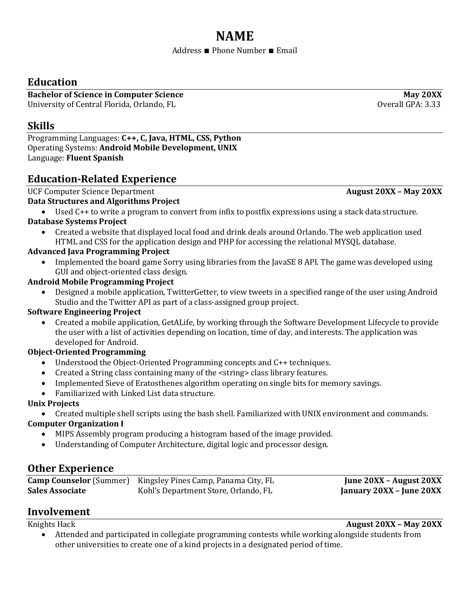# **NAME**

#### Address ∎ Phone Number ∎ Email

# **Education**

**Bachelor of Science in Computer Science May 20XX** University of Central Florida, Orlando, FL Quantum Company of Central GPA: 3.33

# **Skills**

Programming Languages: **C++, C, Java, HTML, CSS, Python** Operating Systems: **Android Mobile Development, UNIX** Language: **Fluent Spanish**

# **Education-Related Experience**

**UCF Computer Science Department August 20XX – May 20XX** –

# **Data Structures and Algorithms Project**

• Used C++ to write a program to convert from infix to postfix expressions using a stack data structure. **Database Systems Project**

• Created a website that displayed local food and drink deals around Orlando. The web application used HTML and CSS for the application design and PHP for accessing the relational MYSQL database.

# **Advanced Java Programming Project**

• Implemented the board game Sorry using libraries from the JavaSE 8 API. The game was developed using GUI and object-oriented class design.

# **Android Mobile Programming Project**

• Designed a mobile application, TwitterGetter, to view tweets in a specified range of the user using Android Studio and the Twitter API as part of a class-assigned group project.

# **Software Engineering Project**

• Created a mobile application, GetALife, by working through the Software Development Lifecycle to provide the user with a list of activities depending on location, time of day, and interests. The application was developed for Android.

# **Object-Oriented Programming**

- Understood the Object-Oriented Programming concepts and C++ techniques.
- Created a String class containing many of the <string> class library features.
- Implemented Sieve of Eratosthenes algorithm operating on single bits for memory savings.
- Familiarized with Linked List data structure.

# **Unix Projects**

• Created multiple shell scripts using the bash shell. Familiarized with UNIX environment and commands.

# **Computer Organization I**

- MIPS Assembly program producing a histogram based of the image provided.
- Understanding of Computer Architecture, digital logic and processor design.

# **Other Experience**

|                        | <b>Camp Counselor</b> (Summer) Kingsley Pines Camp, Panama City, FL | June 20XX – August 20XX  |
|------------------------|---------------------------------------------------------------------|--------------------------|
| <b>Sales Associate</b> | Kohl's Department Store, Orlando, FL                                | January 20XX – June 20XX |

# **Involvement**

Knights Hack **August 20XX – May 20XX**

• Attended and participated in collegiate programming contests while working alongside students from other universities to create one of a kind projects in a designated period of time.